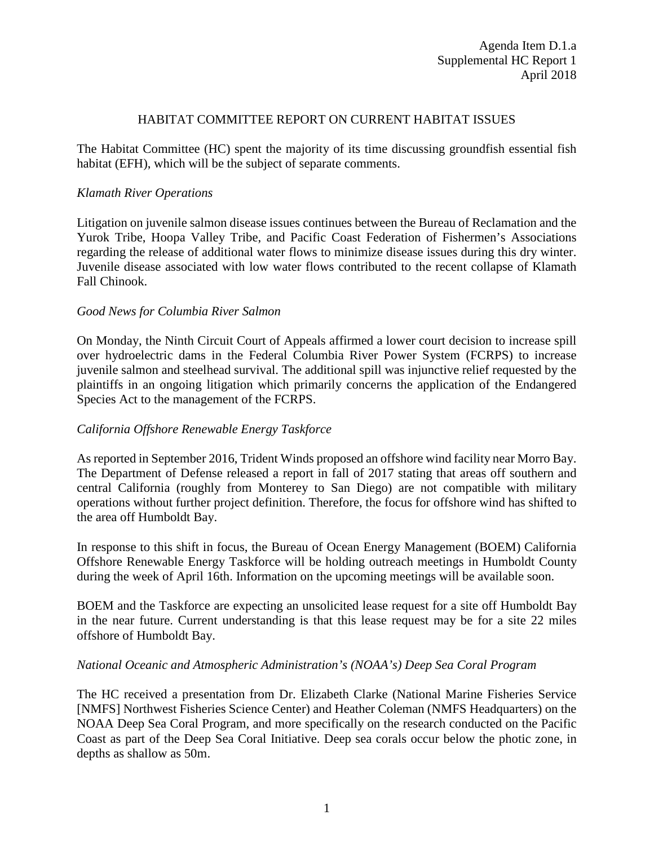### HABITAT COMMITTEE REPORT ON CURRENT HABITAT ISSUES

The Habitat Committee (HC) spent the majority of its time discussing groundfish essential fish habitat (EFH), which will be the subject of separate comments.

## *Klamath River Operations*

Litigation on juvenile salmon disease issues continues between the Bureau of Reclamation and the Yurok Tribe, Hoopa Valley Tribe, and Pacific Coast Federation of Fishermen's Associations regarding the release of additional water flows to minimize disease issues during this dry winter. Juvenile disease associated with low water flows contributed to the recent collapse of Klamath Fall Chinook.

## *Good News for Columbia River Salmon*

On Monday, the Ninth Circuit Court of Appeals affirmed a lower court decision to increase spill over hydroelectric dams in the Federal Columbia River Power System (FCRPS) to increase juvenile salmon and steelhead survival. The additional spill was injunctive relief requested by the plaintiffs in an ongoing litigation which primarily concerns the application of the Endangered Species Act to the management of the FCRPS.

## *California Offshore Renewable Energy Taskforce*

As reported in September 2016, Trident Winds proposed an offshore wind facility near Morro Bay. The Department of Defense released a report in fall of 2017 stating that areas off southern and central California (roughly from Monterey to San Diego) are not compatible with military operations without further project definition. Therefore, the focus for offshore wind has shifted to the area off Humboldt Bay.

In response to this shift in focus, the Bureau of Ocean Energy Management (BOEM) California Offshore Renewable Energy Taskforce will be holding outreach meetings in Humboldt County during the week of April 16th. Information on the upcoming meetings will be available soon.

BOEM and the Taskforce are expecting an unsolicited lease request for a site off Humboldt Bay in the near future. Current understanding is that this lease request may be for a site 22 miles offshore of Humboldt Bay.

## *National Oceanic and Atmospheric Administration's (NOAA's) Deep Sea Coral Program*

The HC received a presentation from Dr. Elizabeth Clarke (National Marine Fisheries Service [NMFS] Northwest Fisheries Science Center) and Heather Coleman (NMFS Headquarters) on the NOAA Deep Sea Coral Program, and more specifically on the research conducted on the Pacific Coast as part of the Deep Sea Coral Initiative. Deep sea corals occur below the photic zone, in depths as shallow as 50m.